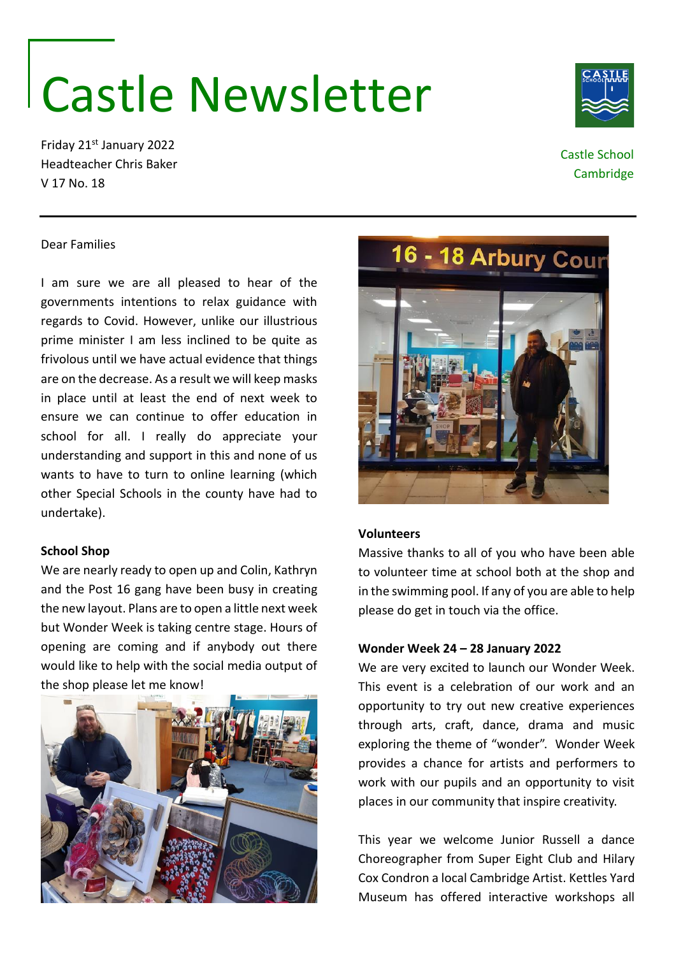# Castle Newsletter

Friday 21st January 2022 Headteacher Chris Baker V 17 No. 18

# Castle School Cambridge

## Dear Families

I am sure we are all pleased to hear of the governments intentions to relax guidance with regards to Covid. However, unlike our illustrious prime minister I am less inclined to be quite as frivolous until we have actual evidence that things are on the decrease. As a result we will keep masks in place until at least the end of next week to ensure we can continue to offer education in school for all. I really do appreciate your understanding and support in this and none of us wants to have to turn to online learning (which other Special Schools in the county have had to undertake).

### **School Shop**

We are nearly ready to open up and Colin, Kathryn and the Post 16 gang have been busy in creating the new layout. Plans are to open a little next week but Wonder Week is taking centre stage. Hours of opening are coming and if anybody out there would like to help with the social media output of the shop please let me know!





# **Volunteers**

Massive thanks to all of you who have been able to volunteer time at school both at the shop and in the swimming pool. If any of you are able to help please do get in touch via the office.

#### **Wonder Week 24 – 28 January 2022**

We are very excited to launch our Wonder Week. This event is a celebration of our work and an opportunity to try out new creative experiences through arts, craft, dance, drama and music exploring the theme of "wonder". Wonder Week provides a chance for artists and performers to work with our pupils and an opportunity to visit places in our community that inspire creativity.

This year we welcome Junior Russell a dance Choreographer from Super Eight Club and Hilary Cox Condron a local Cambridge Artist. Kettles Yard Museum has offered interactive workshops all